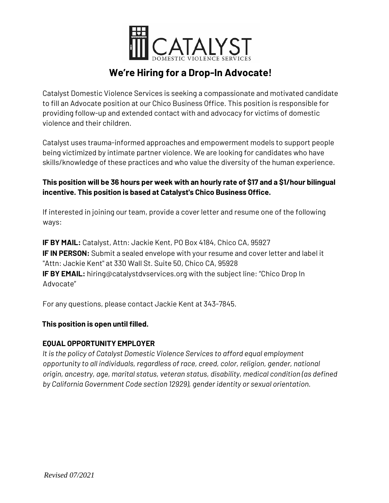

# **We're Hiring for a Drop-In Advocate!**

Catalyst Domestic Violence Services is seeking a compassionate and motivated candidate to fill an Advocate position at our Chico Business Office. This position is responsible for providing follow-up and extended contact with and advocacy for victims of domestic violence and their children.

Catalyst uses trauma-informed approaches and empowerment models to support people being victimized by intimate partner violence. We are looking for candidates who have skills/knowledge of these practices and who value the diversity of the human experience.

## **This position will be 36 hours per week with an hourly rate of \$17 and a \$1/hour bilingual incentive. This position is based at Catalyst's Chico Business Office.**

If interested in joining our team, provide a cover letter and resume one of the following ways:

**IF BY MAIL:** Catalyst, Attn: Jackie Kent, PO Box 4184, Chico CA, 95927 **IF IN PERSON:** Submit a sealed envelope with your resume and cover letter and label it "Attn: Jackie Kent" at 330 Wall St. Suite 50, Chico CA, 95928 **IF BY EMAIL:** hiring@catalystdvservices.org with the subject line: "Chico Drop In Advocate"

For any questions, please contact Jackie Kent at 343-7845.

## **This position is open until filled.**

### **EQUAL OPPORTUNITY EMPLOYER**

*It is the policy of Catalyst Domestic Violence Services to afford equal employment opportunity to all individuals, regardless of race, creed, color, religion, gender, national origin, ancestry, age, marital status, veteran status, disability, medical condition (as defined by California Government Code section 12929), gender identity or sexual orientation.*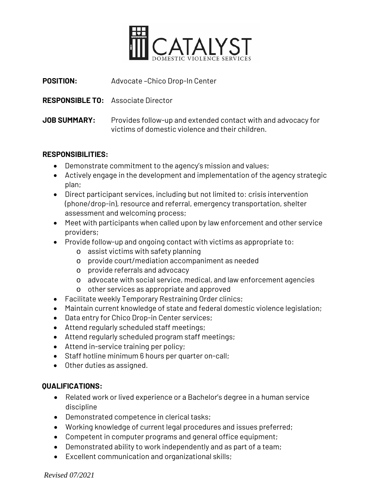

| <b>POSITION:</b>    | Advocate-Chico Drop-In Center                                                                                     |
|---------------------|-------------------------------------------------------------------------------------------------------------------|
|                     | <b>RESPONSIBLE TO:</b> Associate Director                                                                         |
| <b>JOB SUMMARY:</b> | Provides follow-up and extended contact with and advocacy for<br>victims of domestic violence and their children. |

### **RESPONSIBILITIES:**

- Demonstrate commitment to the agency's mission and values;
- Actively engage in the development and implementation of the agency strategic plan;
- Direct participant services, including but not limited to: crisis intervention (phone/drop-in), resource and referral, emergency transportation, shelter assessment and welcoming process;
- Meet with participants when called upon by law enforcement and other service providers;
- Provide follow-up and ongoing contact with victims as appropriate to:
	- o assist victims with safety planning
	- o provide court/mediation accompaniment as needed
	- o provide referrals and advocacy
	- o advocate with social service, medical, and law enforcement agencies
	- o other services as appropriate and approved
- Facilitate weekly Temporary Restraining Order clinics;
- Maintain current knowledge of state and federal domestic violence legislation;
- Data entry for Chico Drop-in Center services;
- Attend regularly scheduled staff meetings;
- Attend regularly scheduled program staff meetings;
- Attend in-service training per policy;
- Staff hotline minimum 6 hours per quarter on-call;
- Other duties as assigned.

#### **QUALIFICATIONS:**

- Related work or lived experience or a Bachelor's degree in a human service discipline
- Demonstrated competence in clerical tasks;
- Working knowledge of current legal procedures and issues preferred;
- Competent in computer programs and general office equipment;
- Demonstrated ability to work independently and as part of a team;
- Excellent communication and organizational skills;